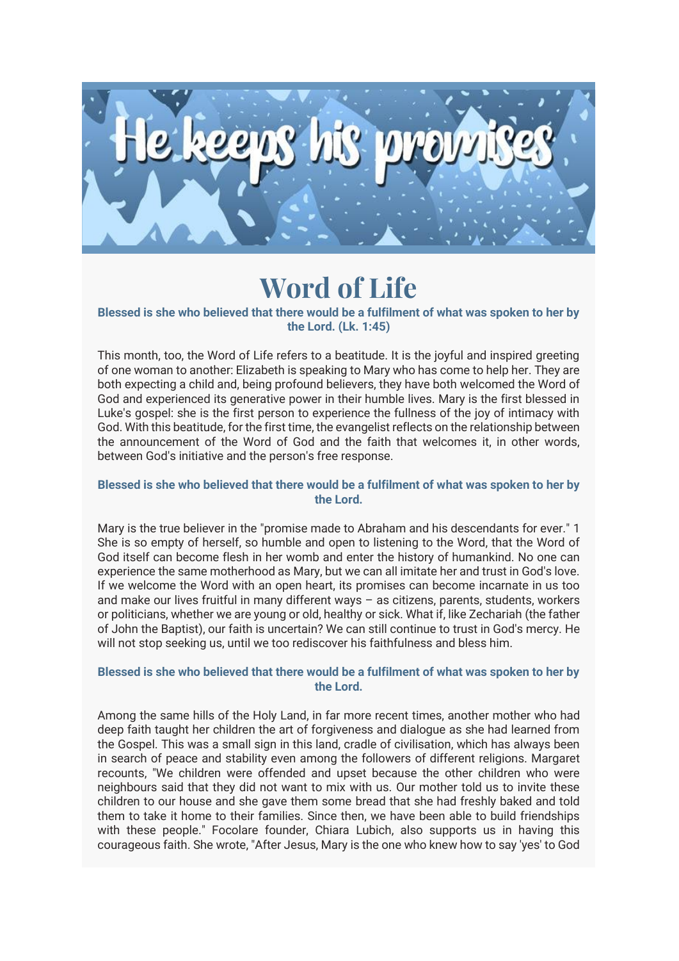

# **Word of Life**

## **Blessed is she who believed that there would be a fulfilment of what was spoken to her by the Lord. (Lk. 1:45)**

This month, too, the Word of Life refers to a beatitude. It is the joyful and inspired greeting of one woman to another: Elizabeth is speaking to Mary who has come to help her. They are both expecting a child and, being profound believers, they have both welcomed the Word of God and experienced its generative power in their humble lives. Mary is the first blessed in Luke's gospel: she is the first person to experience the fullness of the joy of intimacy with God. With this beatitude, for the first time, the evangelist reflects on the relationship between the announcement of the Word of God and the faith that welcomes it, in other words, between God's initiative and the person's free response.

# **Blessed is she who believed that there would be a fulfilment of what was spoken to her by the Lord.**

Mary is the true believer in the "promise made to Abraham and his descendants for ever." 1 She is so empty of herself, so humble and open to listening to the Word, that the Word of God itself can become flesh in her womb and enter the history of humankind. No one can experience the same motherhood as Mary, but we can all imitate her and trust in God's love. If we welcome the Word with an open heart, its promises can become incarnate in us too and make our lives fruitful in many different ways – as citizens, parents, students, workers or politicians, whether we are young or old, healthy or sick. What if, like Zechariah (the father of John the Baptist), our faith is uncertain? We can still continue to trust in God's mercy. He will not stop seeking us, until we too rediscover his faithfulness and bless him.

#### **Blessed is she who believed that there would be a fulfilment of what was spoken to her by the Lord.**

Among the same hills of the Holy Land, in far more recent times, another mother who had deep faith taught her children the art of forgiveness and dialogue as she had learned from the Gospel. This was a small sign in this land, cradle of civilisation, which has always been in search of peace and stability even among the followers of different religions. Margaret recounts, "We children were offended and upset because the other children who were neighbours said that they did not want to mix with us. Our mother told us to invite these children to our house and she gave them some bread that she had freshly baked and told them to take it home to their families. Since then, we have been able to build friendships with these people." Focolare founder, Chiara Lubich, also supports us in having this courageous faith. She wrote, "After Jesus, Mary is the one who knew how to say 'yes' to God